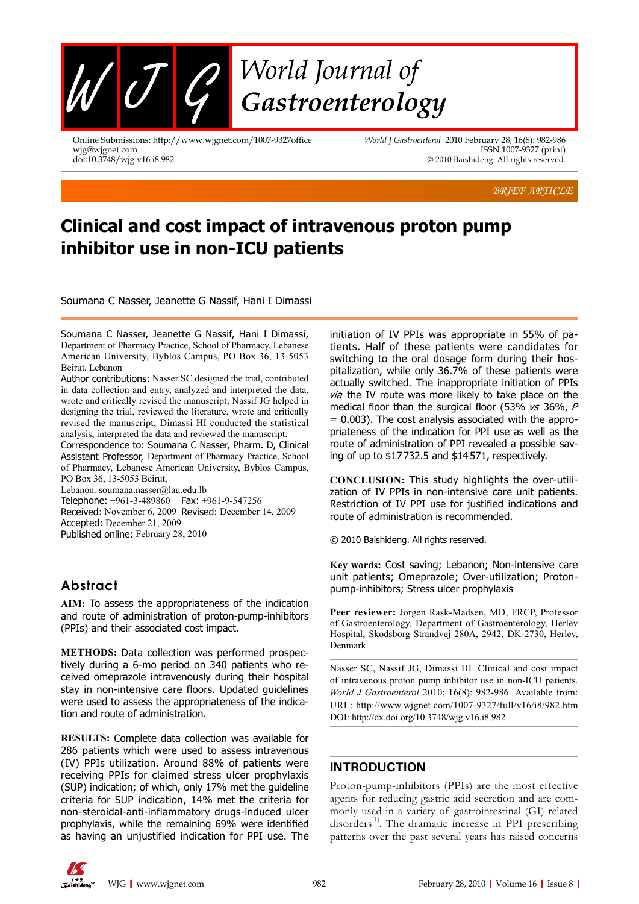

Online Submissions: http://www.wjgnet.com/1007-9327office wjg@wjgnet.com doi:10.3748/wjg.v16.i8.982

*World J Gastroenterol* 2010 February 28; 16(8): 982-986 ISSN 1007-9327 (print) © 2010 Baishideng. All rights reserved.

*BRIEF ARTICLE* 

# **Clinical and cost impact of intravenous proton pump inhibitor use in non-ICU patients**

Soumana C Nasser, Jeanette G Nassif, Hani I Dimassi

Soumana C Nasser, Jeanette G Nassif, Hani I Dimassi, Department of Pharmacy Practice, School of Pharmacy, Lebanese American University, Byblos Campus, PO Box 36, 13-5053 Beirut, Lebanon

Author contributions: Nasser SC designed the trial, contributed in data collection and entry, analyzed and interpreted the data, wrote and critically revised the manuscript; Nassif JG helped in designing the trial, reviewed the literature, wrote and critically revised the manuscript; Dimassi HI conducted the statistical analysis, interpreted the data and reviewed the manuscript.

Correspondence to: Soumana C Nasser, Pharm. D, Clinical Assistant Professor, Department of Pharmacy Practice, School of Pharmacy, Lebanese American University, Byblos Campus, PO Box 36, 13-5053 Beirut,

Lebanon. soumana.nasser@lau.edu.lb

Telephone: +961-3-489860 Fax: +961-9-547256 Received: November 6, 2009 Revised: December 14, 2009 Accepted: December 21, 2009 Published online: February 28, 2010

# **Abstract**

**AIM:** To assess the appropriateness of the indication and route of administration of proton-pump-inhibitors (PPIs) and their associated cost impact.

**METHODS:** Data collection was performed prospectively during a 6-mo period on 340 patients who received omeprazole intravenously during their hospital stay in non-intensive care floors. Updated guidelines were used to assess the appropriateness of the indication and route of administration.

**RESULTS:** Complete data collection was available for 286 patients which were used to assess intravenous (IV) PPIs utilization. Around 88% of patients were receiving PPIs for claimed stress ulcer prophylaxis (SUP) indication; of which, only 17% met the guideline criteria for SUP indication, 14% met the criteria for non-steroidal-anti-inflammatory drugs-induced ulcer prophylaxis, while the remaining 69% were identified as having an unjustified indication for PPI use. The

initiation of IV PPIs was appropriate in 55% of patients. Half of these patients were candidates for switching to the oral dosage form during their hospitalization, while only 36.7% of these patients were actually switched. The inappropriate initiation of PPIs via the IV route was more likely to take place on the medical floor than the surgical floor (53%  $\kappa s$  36%, P = 0.003). The cost analysis associated with the appropriateness of the indication for PPI use as well as the route of administration of PPI revealed a possible saving of up to \$17732.5 and \$14571, respectively.

**CONCLUSION:** This study highlights the over-utilization of IV PPIs in non-intensive care unit patients. Restriction of IV PPI use for justified indications and route of administration is recommended.

© 2010 Baishideng. All rights reserved.

**Key words:** Cost saving; Lebanon; Non-intensive care unit patients; Omeprazole; Over-utilization; Protonpump-inhibitors; Stress ulcer prophylaxis

**Peer reviewer:** Jorgen Rask-Madsen, MD, FRCP, Professor of Gastroenterology, Department of Gastroenterology, Herlev Hospital, Skodsborg Strandvej 280A, 2942, DK-2730, Herlev, Denmark

Nasser SC, Nassif JG, Dimassi HI. Clinical and cost impact of intravenous proton pump inhibitor use in non-ICU patients. *World J Gastroenterol* 2010; 16(8): 982-986 Available from: URL: http://www.wjgnet.com/1007-9327/full/v16/i8/982.htm DOI: http://dx.doi.org/10.3748/wjg.v16.i8.982

# **INTRODUCTION**

Proton-pump-inhibitors (PPIs) are the most effective agents for reducing gastric acid secretion and are commonly used in a variety of gastrointestinal (GI) related disorders<sup>[1]</sup>. The dramatic increase in PPI prescribing patterns over the past several years has raised concerns

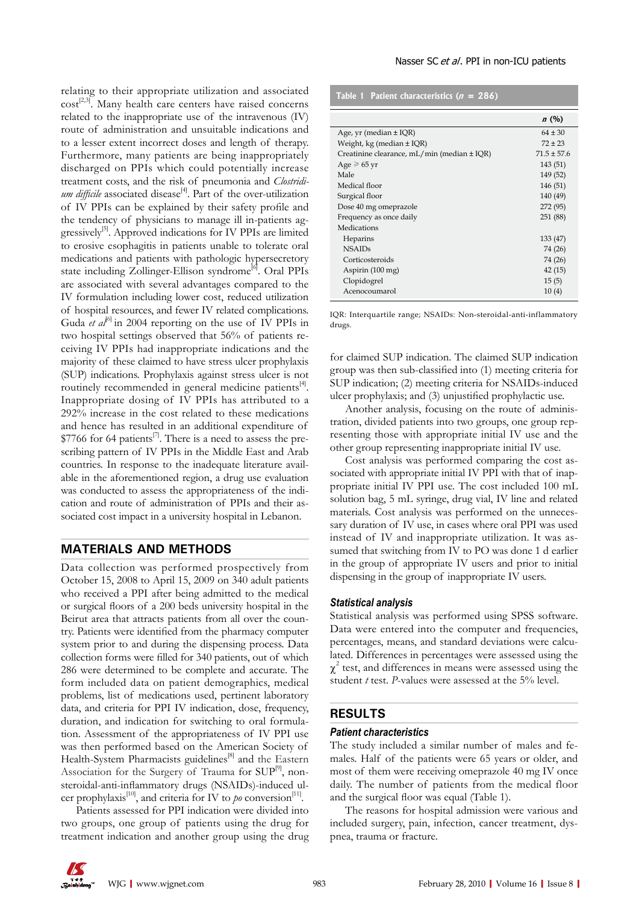relating to their appropriate utilization and associated  $cost^{[2,3]}$ . Many health care centers have raised concerns related to the inappropriate use of the intravenous (IV) route of administration and unsuitable indications and to a lesser extent incorrect doses and length of therapy. Furthermore, many patients are being inappropriately discharged on PPIs which could potentially increase treatment costs, and the risk of pneumonia and *Clostridi* $um$  difficile associated disease<sup>[4]</sup>. Part of the over-utilization of IV PPIs can be explained by their safety profile and the tendency of physicians to manage ill in-patients aggressively<sup>[5]</sup>. Approved indications for IV PPIs are limited to erosive esophagitis in patients unable to tolerate oral medications and patients with pathologic hypersecretory state including Zollinger-Ellison syndrome<sup>[6]</sup>. Oral PPIs are associated with several advantages compared to the IV formulation including lower cost, reduced utilization of hospital resources, and fewer IV related complications. Guda *et al*<sup>61</sup> in 2004 reporting on the use of IV PPIs in two hospital settings observed that 56% of patients receiving IV PPIs had inappropriate indications and the majority of these claimed to have stress ulcer prophylaxis (SUP) indications. Prophylaxis against stress ulcer is not routinely recommended in general medicine patients $\mathbf{A}$ . Inappropriate dosing of IV PPIs has attributed to a 292% increase in the cost related to these medications and hence has resulted in an additional expenditure of  $$7766$  for 64 patients<sup>[7]</sup>. There is a need to assess the prescribing pattern of IV PPIs in the Middle East and Arab countries. In response to the inadequate literature available in the aforementioned region, a drug use evaluation was conducted to assess the appropriateness of the indication and route of administration of PPIs and their associated cost impact in a university hospital in Lebanon.

# **MATERIALS AND METHODS**

Data collection was performed prospectively from October 15, 2008 to April 15, 2009 on 340 adult patients who received a PPI after being admitted to the medical or surgical floors of a 200 beds university hospital in the Beirut area that attracts patients from all over the country. Patients were identified from the pharmacy computer system prior to and during the dispensing process. Data collection forms were filled for 340 patients, out of which 286 were determined to be complete and accurate. The form included data on patient demographics, medical problems, list of medications used, pertinent laboratory data, and criteria for PPI IV indication, dose, frequency, duration, and indication for switching to oral formulation. Assessment of the appropriateness of IV PPI use was then performed based on the American Society of Health-System Pharmacists guidelines<sup>[8]</sup> and the Eastern Association for the Surgery of Trauma for  $\text{SUP}^{[9]}$ , nonsteroidal-anti-inflammatory drugs (NSAIDs)-induced ulcer prophylaxis<sup>[10]</sup>, and criteria for IV to *po* conversion<sup>[11]</sup>.

Patients assessed for PPI indication were divided into two groups, one group of patients using the drug for treatment indication and another group using the drug

| Table 1 Patient characteristics $(n = 286)$ |  |
|---------------------------------------------|--|
|                                             |  |

|                                                   | n(%)            |
|---------------------------------------------------|-----------------|
| Age, yr (median $\pm$ IQR)                        | $64 \pm 30$     |
| Weight, $kg$ (median $\pm$ IQR)                   | $72 + 23$       |
| Creatinine clearance, $mL/min$ (median $\pm$ IQR) | $71.5 \pm 57.6$ |
| Age $\geq 65$ yr                                  | 143 (51)        |
| Male                                              | 149 (52)        |
| Medical floor                                     | 146 (51)        |
| Surgical floor                                    | 140 (49)        |
| Dose 40 mg omeprazole                             | 272 (95)        |
| Frequency as once daily                           | 251 (88)        |
| Medications                                       |                 |
| Heparins                                          | 133 (47)        |
| <b>NSAIDs</b>                                     | 74 (26)         |
| Corticosteroids                                   | 74 (26)         |
| Aspirin (100 mg)                                  | 42(15)          |
| Clopidogrel                                       | 15(5)           |
| Acenocoumarol                                     | 10(4)           |

IQR: Interquartile range; NSAIDs: Non-steroidal-anti-inflammatory drugs.

for claimed SUP indication. The claimed SUP indication group was then sub-classified into (1) meeting criteria for SUP indication; (2) meeting criteria for NSAIDs-induced ulcer prophylaxis; and (3) unjustified prophylactic use.

Another analysis, focusing on the route of administration, divided patients into two groups, one group representing those with appropriate initial IV use and the other group representing inappropriate initial IV use.

Cost analysis was performed comparing the cost associated with appropriate initial IV PPI with that of inappropriate initial IV PPI use. The cost included 100 mL solution bag, 5 mL syringe, drug vial, IV line and related materials. Cost analysis was performed on the unnecessary duration of IV use, in cases where oral PPI was used instead of IV and inappropriate utilization. It was assumed that switching from IV to PO was done 1 d earlier in the group of appropriate IV users and prior to initial dispensing in the group of inappropriate IV users.

# *Statistical analysis*

Statistical analysis was performed using SPSS software. Data were entered into the computer and frequencies, percentages, means, and standard deviations were calculated. Differences in percentages were assessed using the  $\chi^2$  test, and differences in means were assessed using the student *t* test. *P*-values were assessed at the 5% level.

## **RESULTS**

#### *Patient characteristics*

The study included a similar number of males and females. Half of the patients were 65 years or older, and most of them were receiving omeprazole 40 mg IV once daily. The number of patients from the medical floor and the surgical floor was equal (Table 1).

The reasons for hospital admission were various and included surgery, pain, infection, cancer treatment, dyspnea, trauma or fracture.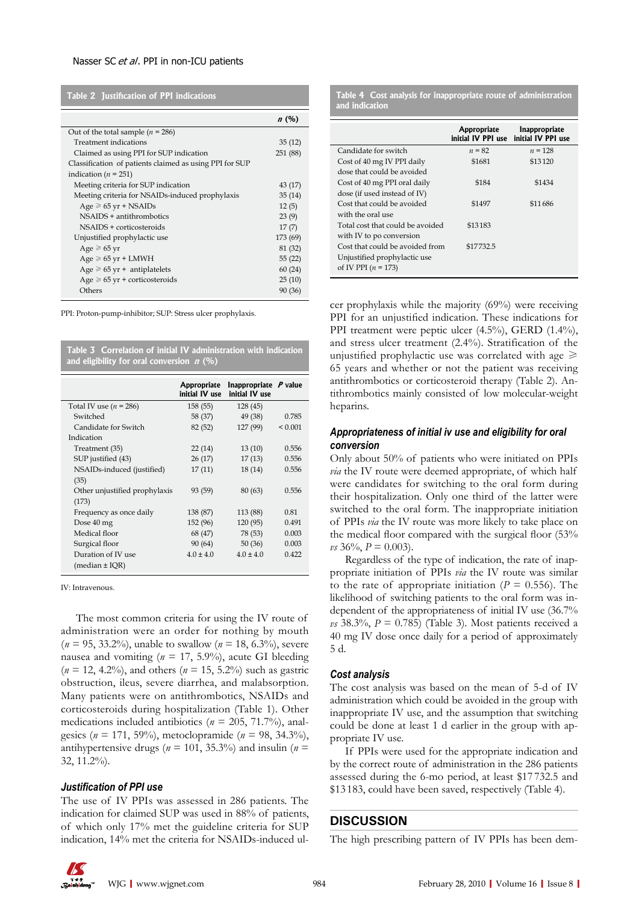### Nasser SC et al. PPI in non-ICU patients

**Table 2 Justification of PPI indications**

|                                                         | n(%)     |
|---------------------------------------------------------|----------|
| Out of the total sample ( $n = 286$ )                   |          |
| Treatment indications                                   | 35(12)   |
| Claimed as using PPI for SUP indication                 | 251 (88) |
| Classification of patients claimed as using PPI for SUP |          |
| indication ( $n = 251$ )                                |          |
| Meeting criteria for SUP indication                     | 43 (17)  |
| Meeting criteria for NSAIDs-induced prophylaxis         | 35(14)   |
| $Age \ge 65$ yr + NSAIDs                                | 12(5)    |
| $NSAIDS + antithrombotics$                              | 23(9)    |
| NSAIDS + corticosteroids                                | 17(7)    |
| Unjustified prophylactic use                            | 173 (69) |
| Age $\geq 65$ yr                                        | 81 (32)  |
| $Age \ge 65$ yr + LMWH                                  | 55 (22)  |
| Age $\geq 65$ yr + antiplatelets                        | 60(24)   |
| Age $\geq 65$ yr + corticosteroids                      | 25(10)   |
| Others                                                  | 90 (36)  |

PPI: Proton-pump-inhibitor; SUP: Stress ulcer prophylaxis.

| Table 3 Correlation of initial IV administration with indication<br>and eligibility for oral conversion $n$ (%) |                               |                                           |              |  |
|-----------------------------------------------------------------------------------------------------------------|-------------------------------|-------------------------------------------|--------------|--|
|                                                                                                                 | Appropriate<br>initial IV use | Inappropriate $P$ value<br>initial IV use |              |  |
| Total IV use $(n = 286)$                                                                                        | 158 (55)                      | 128 (45)                                  |              |  |
| Switched                                                                                                        | 58 (37)                       | 49 (38)                                   | 0.785        |  |
| Candidate for Switch                                                                                            | 82 (52)                       | 127 (99)                                  | ${}_{0.001}$ |  |
| Indication                                                                                                      |                               |                                           |              |  |
| Treatment (35)                                                                                                  | 22(14)                        | 13(10)                                    | 0.556        |  |
| SUP justified (43)                                                                                              | 26(17)                        | 17(13)                                    | 0.556        |  |
| NSAIDs-induced (justified)                                                                                      | 17(11)                        | 18(14)                                    | 0.556        |  |
| (35)                                                                                                            |                               |                                           |              |  |
| Other unjustified prophylaxis                                                                                   | 93 (59)                       | 80(63)                                    | 0.556        |  |
| (173)                                                                                                           |                               |                                           |              |  |
| Frequency as once daily                                                                                         | 138 (87)                      | 113 (88)                                  | 0.81         |  |
| Dose 40 mg                                                                                                      | 152 (96)                      | 120(95)                                   | 0.491        |  |
| Medical floor                                                                                                   | 68 (47)                       | 78 (53)                                   | 0.003        |  |
| Surgical floor                                                                                                  | 90(64)                        | 50(36)                                    | 0.003        |  |
| Duration of IV use                                                                                              | $4.0 \pm 4.0$                 | $4.0 \pm 4.0$                             | 0.422        |  |
| (median $\pm$ IQR)                                                                                              |                               |                                           |              |  |

IV: Intravenous.

The most common criteria for using the IV route of administration were an order for nothing by mouth (*n* = 95, 33.2%), unable to swallow (*n* = 18, 6.3%), severe nausea and vomiting ( $n = 17, 5.9\%$ ), acute GI bleeding (*n* = 12, 4.2%), and others (*n* = 15, 5.2%) such as gastric obstruction, ileus, severe diarrhea, and malabsorption. Many patients were on antithrombotics, NSAIDs and corticosteroids during hospitalization (Table 1). Other medications included antibiotics (*n* = 205, 71.7%), analgesics (*n* = 171, 59%), metoclopramide (*n* = 98, 34.3%), antihypertensive drugs ( $n = 101$ , 35.3%) and insulin ( $n =$ 32, 11.2%).

#### *Justification of PPI use*

The use of IV PPIs was assessed in 286 patients. The indication for claimed SUP was used in 88% of patients, of which only 17% met the guideline criteria for SUP indication, 14% met the criteria for NSAIDs-induced ul**Table 4 Cost analysis for inappropriate route of administration and indication**

|                                  | Appropriate | Inappropriate<br>initial IV PPI use initial IV PPI use |
|----------------------------------|-------------|--------------------------------------------------------|
| Candidate for switch             | $n = 82$    | $n = 128$                                              |
| Cost of 40 mg IV PPI daily       | \$1681      | \$13120                                                |
| dose that could be avoided       |             |                                                        |
| Cost of 40 mg PPI oral daily     | \$184       | \$1434                                                 |
| dose (if used instead of IV)     |             |                                                        |
| Cost that could be avoided       | \$1497      | \$11686                                                |
| with the oral use                |             |                                                        |
| Total cost that could be avoided | \$13183     |                                                        |
| with IV to po conversion         |             |                                                        |
| Cost that could be avoided from  | \$17732.5   |                                                        |
| Unjustified prophylactic use     |             |                                                        |
| of IV PPI $(n = 173)$            |             |                                                        |
|                                  |             |                                                        |

cer prophylaxis while the majority (69%) were receiving PPI for an unjustified indication. These indications for PPI treatment were peptic ulcer (4.5%), GERD (1.4%), and stress ulcer treatment (2.4%). Stratification of the unjustified prophylactic use was correlated with age  $\geq$ 65 years and whether or not the patient was receiving antithrombotics or corticosteroid therapy (Table 2). Antithrombotics mainly consisted of low molecular-weight heparins.

# *Appropriateness of initial iv use and eligibility for oral conversion*

Only about 50% of patients who were initiated on PPIs *via* the IV route were deemed appropriate, of which half were candidates for switching to the oral form during their hospitalization. Only one third of the latter were switched to the oral form. The inappropriate initiation of PPIs *via* the IV route was more likely to take place on the medical floor compared with the surgical floor (53%  $\nu s$  36\%,  $P = 0.003$ ).

Regardless of the type of indication, the rate of inappropriate initiation of PPIs *via* the IV route was similar to the rate of appropriate initiation ( $P = 0.556$ ). The likelihood of switching patients to the oral form was independent of the appropriateness of initial IV use (36.7%  $\nu s$  38.3%,  $P = 0.785$ ) (Table 3). Most patients received a 40 mg IV dose once daily for a period of approximately 5 d.

## *Cost analysis*

The cost analysis was based on the mean of 5-d of IV administration which could be avoided in the group with inappropriate IV use, and the assumption that switching could be done at least 1 d earlier in the group with appropriate IV use.

If PPIs were used for the appropriate indication and by the correct route of administration in the 286 patients assessed during the 6-mo period, at least \$17 732.5 and \$13 183, could have been saved, respectively (Table 4).

# **DISCUSSION**

The high prescribing pattern of IV PPIs has been dem-

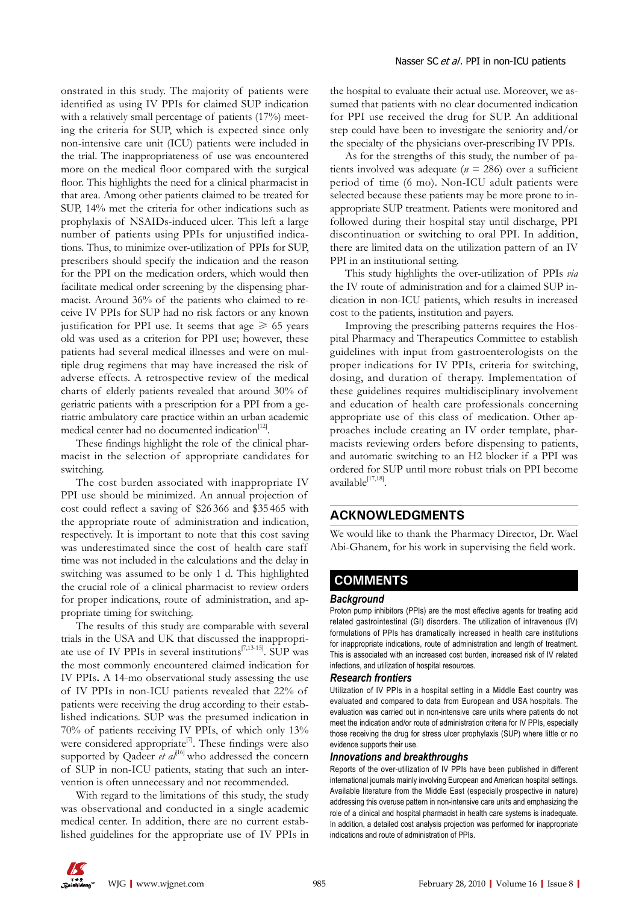onstrated in this study. The majority of patients were identified as using IV PPIs for claimed SUP indication with a relatively small percentage of patients (17%) meeting the criteria for SUP, which is expected since only non-intensive care unit (ICU) patients were included in the trial. The inappropriateness of use was encountered more on the medical floor compared with the surgical floor. This highlights the need for a clinical pharmacist in that area. Among other patients claimed to be treated for SUP, 14% met the criteria for other indications such as prophylaxis of NSAIDs-induced ulcer. This left a large number of patients using PPIs for unjustified indications. Thus, to minimize over-utilization of PPIs for SUP, prescribers should specify the indication and the reason for the PPI on the medication orders, which would then facilitate medical order screening by the dispensing pharmacist. Around 36% of the patients who claimed to receive IV PPIs for SUP had no risk factors or any known justification for PPI use. It seems that age  $\geq 65$  years old was used as a criterion for PPI use; however, these patients had several medical illnesses and were on multiple drug regimens that may have increased the risk of adverse effects. A retrospective review of the medical charts of elderly patients revealed that around 30% of geriatric patients with a prescription for a PPI from a geriatric ambulatory care practice within an urban academic medical center had no documented indication<sup>[12]</sup>.

These findings highlight the role of the clinical pharmacist in the selection of appropriate candidates for switching.

The cost burden associated with inappropriate IV PPI use should be minimized. An annual projection of cost could reflect a saving of \$26 366 and \$35 465 with the appropriate route of administration and indication, respectively. It is important to note that this cost saving was underestimated since the cost of health care staff time was not included in the calculations and the delay in switching was assumed to be only 1 d. This highlighted the crucial role of a clinical pharmacist to review orders for proper indications, route of administration, and appropriate timing for switching.

The results of this study are comparable with several trials in the USA and UK that discussed the inappropriate use of IV PPIs in several institutions $[7,13-15]$ . SUP was the most commonly encountered claimed indication for IV PPIs**.** A 14-mo observational study assessing the use of IV PPIs in non-ICU patients revealed that 22% of patients were receiving the drug according to their established indications. SUP was the presumed indication in 70% of patients receiving IV PPIs, of which only 13% were considered appropriate<sup>[7]</sup>. These findings were also supported by Qadeer *et al*<sup>[16]</sup> who addressed the concern of SUP in non-ICU patients, stating that such an intervention is often unnecessary and not recommended.

With regard to the limitations of this study, the study was observational and conducted in a single academic medical center. In addition, there are no current established guidelines for the appropriate use of IV PPIs in the hospital to evaluate their actual use. Moreover, we assumed that patients with no clear documented indication for PPI use received the drug for SUP. An additional step could have been to investigate the seniority and/or the specialty of the physicians over-prescribing IV PPIs.

As for the strengths of this study, the number of patients involved was adequate (*n* = 286) over a sufficient period of time (6 mo). Non-ICU adult patients were selected because these patients may be more prone to inappropriate SUP treatment. Patients were monitored and followed during their hospital stay until discharge, PPI discontinuation or switching to oral PPI. In addition, there are limited data on the utilization pattern of an IV PPI in an institutional setting.

This study highlights the over-utilization of PPIs *via* the IV route of administration and for a claimed SUP indication in non-ICU patients, which results in increased cost to the patients, institution and payers.

Improving the prescribing patterns requires the Hospital Pharmacy and Therapeutics Committee to establish guidelines with input from gastroenterologists on the proper indications for IV PPIs, criteria for switching, dosing, and duration of therapy. Implementation of these guidelines requires multidisciplinary involvement and education of health care professionals concerning appropriate use of this class of medication. Other approaches include creating an IV order template, pharmacists reviewing orders before dispensing to patients, and automatic switching to an H2 blocker if a PPI was ordered for SUP until more robust trials on PPI become available[17,18].

# **ACKNOWLEDGMENTS**

We would like to thank the Pharmacy Director, Dr. Wael Abi-Ghanem, for his work in supervising the field work.

# **COMMENTS COMMENTS**

#### *Background*

Proton pump inhibitors (PPIs) are the most effective agents for treating acid related gastrointestinal (GI) disorders. The utilization of intravenous (IV) formulations of PPIs has dramatically increased in health care institutions for inappropriate indications, route of administration and length of treatment. This is associated with an increased cost burden, increased risk of IV related infections, and utilization of hospital resources.

## *Research frontiers*

Utilization of IV PPIs in a hospital setting in a Middle East country was evaluated and compared to data from European and USA hospitals. The evaluation was carried out in non-intensive care units where patients do not meet the indication and/or route of administration criteria for IV PPIs, especially those receiving the drug for stress ulcer prophylaxis (SUP) where little or no evidence supports their use.

## *Innovations and breakthroughs*

Reports of the over-utilization of IV PPIs have been published in different international journals mainly involving European and American hospital settings. Available literature from the Middle East (especially prospective in nature) addressing this overuse pattern in non-intensive care units and emphasizing the role of a clinical and hospital pharmacist in health care systems is inadequate. In addition, a detailed cost analysis projection was performed for inappropriate indications and route of administration of PPIs.